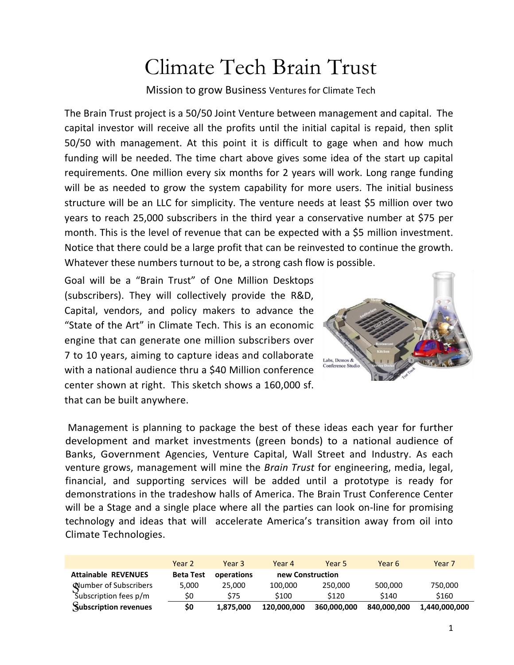# Climate Tech Brain Trust

Mission to grow Business Ventures for Climate Tech

The Brain Trust project is a 50/50 Joint Venture between management and capital. The capital investor will receive all the profits until the initial capital is repaid, then split 50/50 with management. At this point it is difficult to gage when and how much funding will be needed. The time chart above gives some idea of the start up capital requirements. One million every six months for 2 years will work. Long range funding will be as needed to grow the system capability for more users. The initial business structure will be an LLC for simplicity. The venture needs at least \$5 million over two years to reach 25,000 subscribers in the third year a conservative number at \$75 per month. This is the level of revenue that can be expected with a \$5 million investment. Notice that there could be a large profit that can be reinvested to continue the growth. Whatever these numbers turnout to be, a strong cash flow is possible.

Goal will be a "Brain Trust" of One Million Desktops (subscribers). They will collectively provide the R&D, Capital, vendors, and policy makers to advance the "State of the Art" in Climate Tech. This is an economic engine that can generate one million subscribers over 7 to 10 years, aiming to capture ideas and collaborate with a national audience thru a \$40 Million conference center shown at right. This sketch shows a 160,000 sf. that can be built anywhere.



Management is planning to package the best of these ideas each year for further development and market investments (green bonds) to a national audience of Banks, Government Agencies, Venture Capital, Wall Street and Industry. As each venture grows, management will mine the *Brain Trust* for engineering, media, legal, financial, and supporting services will be added until a prototype is ready for demonstrations in the tradeshow halls of America. The Brain Trust Conference Center will be a Stage and a single place where all the parties can look on-line for promising technology and ideas that will accelerate America's transition away from oil into Climate Technologies.

|                              | Year 2           | Year 3     | Year 4           | Year 5      | Year 6      | Year 7        |
|------------------------------|------------------|------------|------------------|-------------|-------------|---------------|
| <b>Attainable REVENUES</b>   | <b>Beta Test</b> | operations | new Construction |             |             |               |
| <b>Number of Subscribers</b> | 5.000            | 25,000     | 100,000          | 250,000     | 500.000     | 750,000       |
| Subscription fees p/m        | \$0              | \$75       | \$100            | \$120       | \$140       | \$160         |
| Subscription revenues        | \$0              | 1.875.000  | 120.000.000      | 360.000.000 | 840.000.000 | 1.440.000.000 |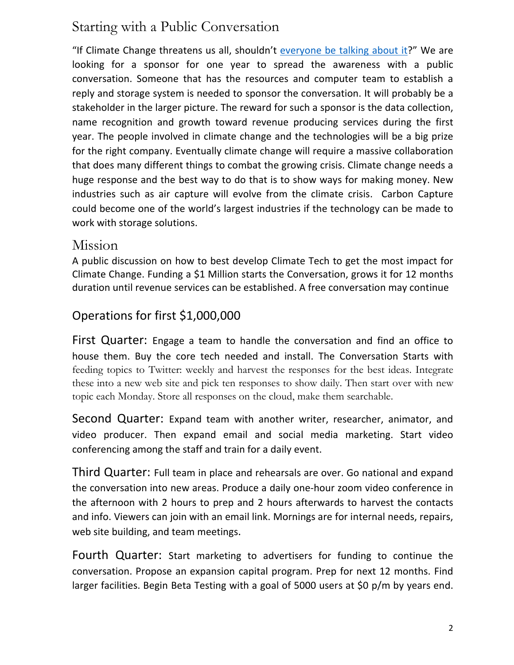# Starting with a Public Conversation

"If Climate Change threatens us all, shouldn't everyone [be talking about it?](https://www.cbsnews.com/news/climate-change-conversations/)" We are looking for a sponsor for one year to spread the awareness with a public conversation. Someone that has the resources and computer team to establish a reply and storage system is needed to sponsor the conversation. It will probably be a stakeholder in the larger picture. The reward for such a sponsor is the data collection, name recognition and growth toward revenue producing services during the first year. The people involved in climate change and the technologies will be a big prize for the right company. Eventually climate change will require a massive collaboration that does many different things to combat the growing crisis. Climate change needs a huge response and the best way to do that is to show ways for making money. New industries such as air capture will evolve from the climate crisis. Carbon Capture could become one of the world's largest industries if the technology can be made to work with storage solutions.

## Mission

A public discussion on how to best develop Climate Tech to get the most impact for Climate Change. Funding a \$1 Million starts the Conversation, grows it for 12 months duration until revenue services can be established. A free conversation may continue

# Operations for first \$1,000,000

First Quarter: Engage a team to handle the conversation and find an office to house them. Buy the core tech needed and install. The Conversation Starts with feeding topics to Twitter: weekly and harvest the responses for the best ideas. Integrate these into a new web site and pick ten responses to show daily. Then start over with new topic each Monday. Store all responses on the cloud, make them searchable.

Second Quarter: Expand team with another writer, researcher, animator, and video producer. Then expand email and social media marketing. Start video conferencing among the staff and train for a daily event.

Third Quarter: Full team in place and rehearsals are over. Go national and expand the conversation into new areas. Produce a daily one-hour zoom video conference in the afternoon with 2 hours to prep and 2 hours afterwards to harvest the contacts and info. Viewers can join with an email link. Mornings are for internal needs, repairs, web site building, and team meetings.

Fourth Quarter: Start marketing to advertisers for funding to continue the conversation. Propose an expansion capital program. Prep for next 12 months. Find larger facilities. Begin Beta Testing with a goal of 5000 users at \$0 p/m by years end.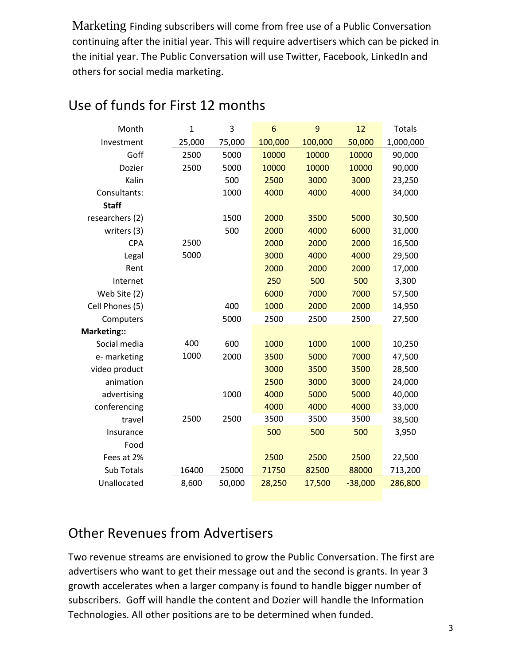Marketing Finding subscribers will come from free use of a Public Conversation continuing after the initial year. This will require advertisers which can be picked in the initial year. The Public Conversation will use Twitter, Facebook, LinkedIn and others for social media marketing.

| Month           | $\mathbf{1}$ | 3      | 6       | 9       | 12        | <b>Totals</b> |
|-----------------|--------------|--------|---------|---------|-----------|---------------|
| Investment      | 25,000       | 75,000 | 100,000 | 100,000 | 50,000    | 1,000,000     |
| Goff            | 2500         | 5000   | 10000   | 10000   | 10000     | 90,000        |
| Dozier          | 2500         | 5000   | 10000   | 10000   | 10000     | 90,000        |
| Kalin           |              | 500    | 2500    | 3000    | 3000      | 23,250        |
| Consultants:    |              | 1000   | 4000    | 4000    | 4000      | 34,000        |
| <b>Staff</b>    |              |        |         |         |           |               |
| researchers (2) |              | 1500   | 2000    | 3500    | 5000      | 30,500        |
| writers (3)     |              | 500    | 2000    | 4000    | 6000      | 31,000        |
| <b>CPA</b>      | 2500         |        | 2000    | 2000    | 2000      | 16,500        |
| Legal           | 5000         |        | 3000    | 4000    | 4000      | 29,500        |
| Rent            |              |        | 2000    | 2000    | 2000      | 17,000        |
| Internet        |              |        | 250     | 500     | 500       | 3,300         |
| Web Site (2)    |              |        | 6000    | 7000    | 7000      | 57,500        |
| Cell Phones (5) |              | 400    | 1000    | 2000    | 2000      | 14,950        |
| Computers       |              | 5000   | 2500    | 2500    | 2500      | 27,500        |
| Marketing::     |              |        |         |         |           |               |
| Social media    | 400          | 600    | 1000    | 1000    | 1000      | 10,250        |
| e- marketing    | 1000         | 2000   | 3500    | 5000    | 7000      | 47,500        |
| video product   |              |        | 3000    | 3500    | 3500      | 28,500        |
| animation       |              |        | 2500    | 3000    | 3000      | 24,000        |
| advertising     |              | 1000   | 4000    | 5000    | 5000      | 40,000        |
| conferencing    |              |        | 4000    | 4000    | 4000      | 33,000        |
| travel          | 2500         | 2500   | 3500    | 3500    | 3500      | 38,500        |
| Insurance       |              |        | 500     | 500     | 500       | 3,950         |
| Food            |              |        |         |         |           |               |
| Fees at 2%      |              |        | 2500    | 2500    | 2500      | 22,500        |
| Sub Totals      | 16400        | 25000  | 71750   | 82500   | 88000     | 713,200       |
| Unallocated     | 8,600        | 50,000 | 28,250  | 17,500  | $-38,000$ | 286,800       |

# Use of funds for First 12 months

# Other Revenues from Advertisers

Two revenue streams are envisioned to grow the Public Conversation. The first are advertisers who want to get their message out and the second is grants. In year 3 growth accelerates when a larger company is found to handle bigger number of subscribers. Goff will handle the content and Dozier will handle the Information Technologies. All other positions are to be determined when funded.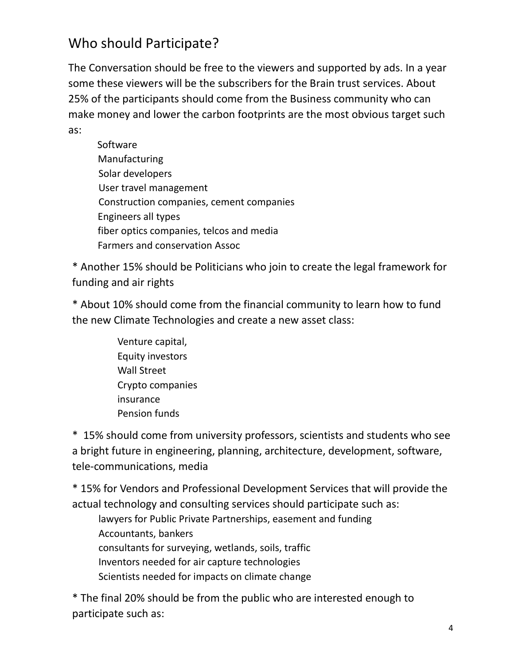# Who should Participate?

The Conversation should be free to the viewers and supported by ads. In a year some these viewers will be the subscribers for the Brain trust services. About 25% of the participants should come from the Business community who can make money and lower the carbon footprints are the most obvious target such as:

 Software Manufacturing Solar developers User travel management Construction companies, cement companies Engineers all types fiber optics companies, telcos and media Farmers and conservation Assoc

\* Another 15% should be Politicians who join to create the legal framework for funding and air rights

\* About 10% should come from the financial community to learn how to fund the new Climate Technologies and create a new asset class:

> Venture capital, Equity investors Wall Street Crypto companies insurance Pension funds

\* 15% should come from university professors, scientists and students who see a bright future in engineering, planning, architecture, development, software, tele-communications, media

\* 15% for Vendors and Professional Development Services that will provide the actual technology and consulting services should participate such as:

lawyers for Public Private Partnerships, easement and funding Accountants, bankers consultants for surveying, wetlands, soils, traffic Inventors needed for air capture technologies Scientists needed for impacts on climate change

\* The final 20% should be from the public who are interested enough to participate such as: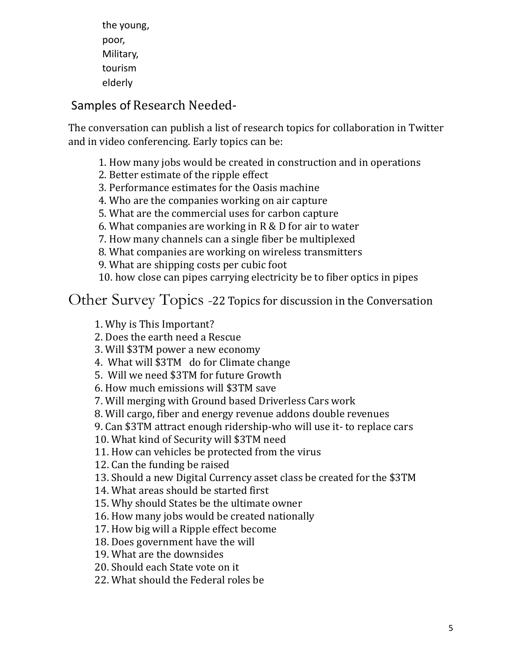the young, poor, Military, tourism elderly

# Samples of Research Needed-

The conversation can publish a list of research topics for collaboration in Twitter and in video conferencing. Early topics can be:

- 1. How many jobs would be created in construction and in operations
- 2. Better estimate of the ripple effect
- 3. Performance estimates for the Oasis machine
- 4. Who are the companies working on air capture
- 5. What are the commercial uses for carbon capture
- 6. What companies are working in R & D for air to water
- 7. How many channels can a single fiber be multiplexed
- 8. What companies are working on wireless transmitters

9. What are shipping costs per cubic foot

10. how close can pipes carrying electricity be to fiber optics in pipes

Other Survey Topics -22 Topics for discussion in the Conversation

1. Why is This Important?

- 2. Does the earth need a Rescue
- 3. Will \$3TM power a new economy
- 4. What will \$3TM do for Climate change
- 5. Will we need \$3TM for future Growth
- 6. How much emissions will \$3TM save
- 7. Will merging with Ground based Driverless Cars work
- 8. Will cargo, fiber and energy revenue addons double revenues
- 9. Can \$3TM attract enough ridership-who will use it- to replace cars

10. What kind of Security will \$3TM need

11. How can vehicles be protected from the virus

12. Can the funding be raised

13. Should a new Digital Currency asset class be created for the \$3TM

14. What areas should be started first

15. Why should States be the ultimate owner

16. How many jobs would be created nationally

17. How big will a Ripple effect become

18. Does government have the will

19. What are the downsides

20. Should each State vote on it

22. What should the Federal roles be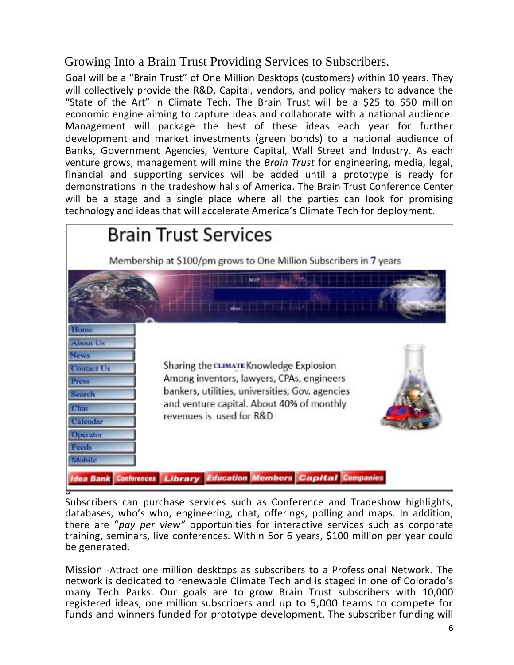# Growing Into a Brain Trust Providing Services to Subscribers.

Goal will be a "Brain Trust" of One Million Desktops (customers) within 10 years. They will collectively provide the R&D, Capital, vendors, and policy makers to advance the "State of the Art" in Climate Tech. The Brain Trust will be a \$25 to \$50 million economic engine aiming to capture ideas and collaborate with a national audience. Management will package the best of these ideas each year for further development and market investments (green bonds) to a national audience of Banks, Government Agencies, Venture Capital, Wall Street and Industry. As each venture grows, management will mine the *Brain Trust* for engineering, media, legal, financial and supporting services will be added until a prototype is ready for demonstrations in the tradeshow halls of America. The Brain Trust Conference Center will be a stage and a single place where all the parties can look for promising technology and ideas that will accelerate America's Climate Tech for deployment.



Subscribers can purchase services such as Conference and Tradeshow highlights, databases, who's who, engineering, chat, offerings, polling and maps. In addition, there are "*pay per view"* opportunities for interactive services such as corporate training, seminars, live conferences. Within 5or 6 years, \$100 million per year could be generated.

Mission -Attract one million desktops as subscribers to a Professional Network. The network is dedicated to renewable Climate Tech and is staged in one of Colorado's many Tech Parks. Our goals are to grow Brain Trust subscribers with 10,000 registered ideas, one million subscribers and up to 5,000 teams to compete for funds and winners funded for prototype development. The subscriber funding will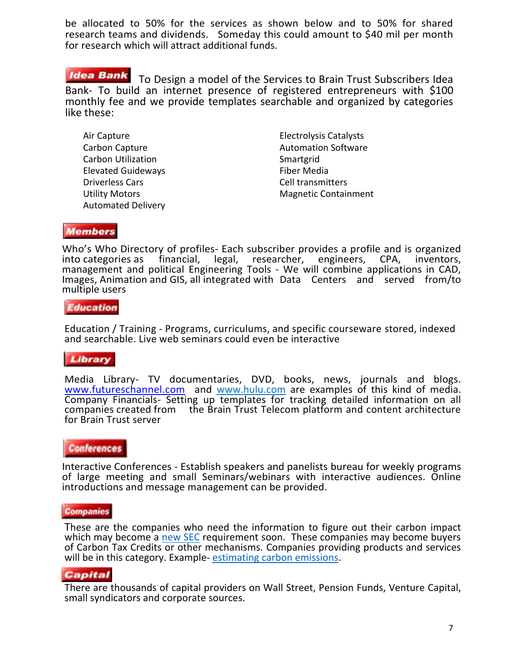be allocated to 50% for the services as shown below and to 50% for shared research teams and dividends. Someday this could amount to \$40 mil per month for research which will attract additional funds.

### **Idea Bank**

To Design a model of the Services to Brain Trust Subscribers Idea Bank- To build an internet presence of registered entrepreneurs with \$100 monthly fee and we provide templates searchable and organized by categories like these:

Air Capture Carbon Capture Carbon Utilization Elevated Guideways Driverless Cars Utility Motors Automated Delivery Electrolysis Catalysts Automation Software **Smartgrid** Fiber Media Cell transmitters Magnetic Containment

### **Members**

Who's Who Directory of profiles- Each subscriber provides a profile and is organized into categories as financial, legal, researcher, engineers, CPA, inventors, researcher, engineers, management and political Engineering Tools - We will combine applications in CAD, Images, Animation and GIS, all integrated with Data Centers and served from/to multiple users

#### **Education**

Education / Training - Programs, curriculums, and specific courseware stored, indexed and searchable. Live web seminars could even be interactive

### Library

Media Library- TV documentaries, DVD, books, news, journals and blogs. [www.futureschannel.com](http://www.futureschannel.com/) and [www.hulu.com](http://www.hulu.com/) are examples of this kind of media. Company Financials- Setting up templates for tracking detailed information on all companies created from the Brain Trust Telecom platform and content architecture for Brain Trust server

### **Conferences**

Interactive Conferences - Establish speakers and panelists bureau for weekly programs of large meeting and small Seminars/webinars with interactive audiences. Online introductions and message management can be provided.

#### **Companies**

These are the companies who need the information to figure out their carbon impact which may become a [new SEC](https://theconversation.com/sec-is-considering-climate-disclosure-rules-for-u-s-companies-and-facing-threats-of-lawsuits-178304) requirement soon. These companies may become buyers of Carbon Tax Credits or other mechanisms. Companies providing products and services will be in this category. Example-[estimating carbon emissions.](https://phys.org/news/2022-04-breakthrough-fossil-fuel-carbon-dioxide.html)

#### **Capital**

There are thousands of capital providers on Wall Street, Pension Funds, Venture Capital, small syndicators and corporate sources.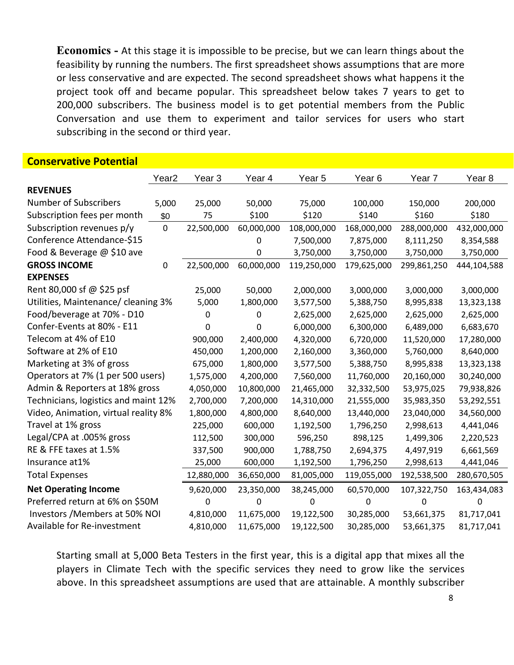**Economics -** At this stage it is impossible to be precise, but we can learn things about the feasibility by running the numbers. The first spreadsheet shows assumptions that are more or less conservative and are expected. The second spreadsheet shows what happens it the project took off and became popular. This spreadsheet below takes 7 years to get to 200,000 subscribers. The business model is to get potential members from the Public Conversation and use them to experiment and tailor services for users who start subscribing in the second or third year.

### **Conservative Potential**

|                                      | Year <sub>2</sub> | Year 3     | Year 4     | Year 5      | Year <sub>6</sub> | Year <sub>7</sub> | Year <sub>8</sub> |
|--------------------------------------|-------------------|------------|------------|-------------|-------------------|-------------------|-------------------|
| <b>REVENUES</b>                      |                   |            |            |             |                   |                   |                   |
| <b>Number of Subscribers</b>         | 5,000             | 25,000     | 50,000     | 75,000      | 100,000           | 150,000           | 200,000           |
| Subscription fees per month          | \$0               | 75         | \$100      | \$120       | \$140             | \$160             | \$180             |
| Subscription revenues p/y            | $\mathbf 0$       | 22,500,000 | 60,000,000 | 108,000,000 | 168,000,000       | 288,000,000       | 432,000,000       |
| Conference Attendance-\$15           |                   |            | 0          | 7,500,000   | 7,875,000         | 8,111,250         | 8,354,588         |
| Food & Beverage @ \$10 ave           |                   |            | 0          | 3,750,000   | 3,750,000         | 3,750,000         | 3,750,000         |
| <b>GROSS INCOME</b>                  | $\mathbf 0$       | 22,500,000 | 60,000,000 | 119,250,000 | 179,625,000       | 299,861,250       | 444,104,588       |
| <b>EXPENSES</b>                      |                   |            |            |             |                   |                   |                   |
| Rent 80,000 sf @ \$25 psf            |                   | 25,000     | 50,000     | 2,000,000   | 3,000,000         | 3,000,000         | 3,000,000         |
| Utilities, Maintenance/ cleaning 3%  |                   | 5,000      | 1,800,000  | 3,577,500   | 5,388,750         | 8,995,838         | 13,323,138        |
| Food/beverage at 70% - D10           |                   | 0          | 0          | 2,625,000   | 2,625,000         | 2,625,000         | 2,625,000         |
| Confer-Events at 80% - E11           |                   | 0          | 0          | 6,000,000   | 6,300,000         | 6,489,000         | 6,683,670         |
| Telecom at 4% of E10                 |                   | 900,000    | 2,400,000  | 4,320,000   | 6,720,000         | 11,520,000        | 17,280,000        |
| Software at 2% of E10                |                   | 450,000    | 1,200,000  | 2,160,000   | 3,360,000         | 5,760,000         | 8,640,000         |
| Marketing at 3% of gross             |                   | 675,000    | 1,800,000  | 3,577,500   | 5,388,750         | 8,995,838         | 13,323,138        |
| Operators at 7% (1 per 500 users)    |                   | 1,575,000  | 4,200,000  | 7,560,000   | 11,760,000        | 20,160,000        | 30,240,000        |
| Admin & Reporters at 18% gross       |                   | 4,050,000  | 10,800,000 | 21,465,000  | 32,332,500        | 53,975,025        | 79,938,826        |
| Technicians, logistics and maint 12% |                   | 2,700,000  | 7,200,000  | 14,310,000  | 21,555,000        | 35,983,350        | 53,292,551        |
| Video, Animation, virtual reality 8% |                   | 1,800,000  | 4,800,000  | 8,640,000   | 13,440,000        | 23,040,000        | 34,560,000        |
| Travel at 1% gross                   |                   | 225,000    | 600,000    | 1,192,500   | 1,796,250         | 2,998,613         | 4,441,046         |
| Legal/CPA at .005% gross             |                   | 112,500    | 300,000    | 596,250     | 898,125           | 1,499,306         | 2,220,523         |
| RE & FFE taxes at 1.5%               |                   | 337,500    | 900,000    | 1,788,750   | 2,694,375         | 4,497,919         | 6,661,569         |
| Insurance at1%                       |                   | 25,000     | 600,000    | 1,192,500   | 1,796,250         | 2,998,613         | 4,441,046         |
| <b>Total Expenses</b>                |                   | 12,880,000 | 36,650,000 | 81,005,000  | 119,055,000       | 192,538,500       | 280,670,505       |
| <b>Net Operating Income</b>          |                   | 9,620,000  | 23,350,000 | 38,245,000  | 60,570,000        | 107,322,750       | 163,434,083       |
| Preferred return at 6% on \$50M      |                   | 0          | 0          | 0           | 0                 | 0                 | $\mathbf{0}$      |
| Investors / Members at 50% NOI       |                   | 4,810,000  | 11,675,000 | 19,122,500  | 30,285,000        | 53,661,375        | 81,717,041        |
| Available for Re-investment          |                   | 4,810,000  | 11,675,000 | 19,122,500  | 30,285,000        | 53,661,375        | 81,717,041        |

Starting small at 5,000 Beta Testers in the first year, this is a digital app that mixes all the players in Climate Tech with the specific services they need to grow like the services above. In this spreadsheet assumptions are used that are attainable. A monthly subscriber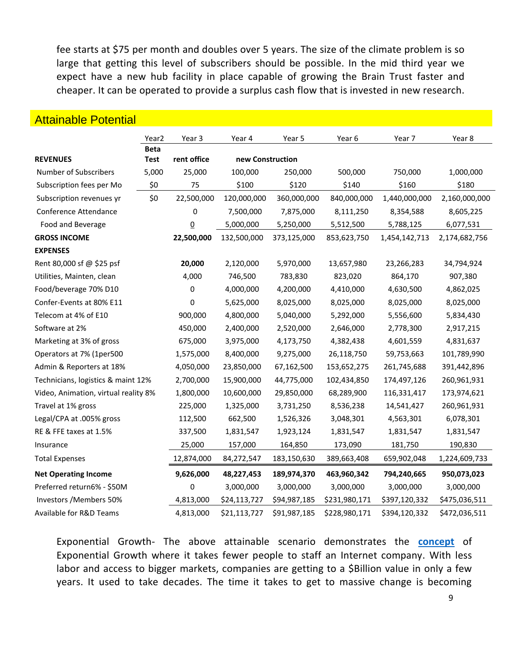fee starts at \$75 per month and doubles over 5 years. The size of the climate problem is so large that getting this level of subscribers should be possible. In the mid third year we expect have a new hub facility in place capable of growing the Brain Trust faster and cheaper. It can be operated to provide a surplus cash flow that is invested in new research.

|                                      | Year <sub>2</sub> | Year 3         | Year 4           | Year 5       | Year 6        | Year 7        | Year 8        |  |
|--------------------------------------|-------------------|----------------|------------------|--------------|---------------|---------------|---------------|--|
|                                      | <b>Beta</b>       |                |                  |              |               |               |               |  |
| <b>REVENUES</b>                      | <b>Test</b>       | rent office    | new Construction |              |               |               |               |  |
| Number of Subscribers                | 5,000             | 25,000         | 100,000          | 250,000      | 500,000       | 750,000       | 1,000,000     |  |
| Subscription fees per Mo             | \$0               | 75             | \$100            | \$120        | \$140         | \$160         | \$180         |  |
| Subscription revenues yr             | \$0               | 22,500,000     | 120,000,000      | 360,000,000  | 840,000,000   | 1,440,000,000 | 2,160,000,000 |  |
| Conference Attendance                |                   | 0              | 7,500,000        | 7,875,000    | 8,111,250     | 8,354,588     | 8,605,225     |  |
| Food and Beverage                    |                   | $\overline{0}$ | 5,000,000        | 5,250,000    | 5,512,500     | 5,788,125     | 6,077,531     |  |
| <b>GROSS INCOME</b>                  |                   | 22,500,000     | 132,500,000      | 373,125,000  | 853,623,750   | 1,454,142,713 | 2,174,682,756 |  |
| <b>EXPENSES</b>                      |                   |                |                  |              |               |               |               |  |
| Rent 80,000 sf @ \$25 psf            |                   | 20,000         | 2,120,000        | 5,970,000    | 13,657,980    | 23,266,283    | 34,794,924    |  |
| Utilities, Mainten, clean            |                   | 4,000          | 746,500          | 783,830      | 823,020       | 864,170       | 907,380       |  |
| Food/beverage 70% D10                |                   | 0              | 4,000,000        | 4,200,000    | 4,410,000     | 4,630,500     | 4,862,025     |  |
| Confer-Events at 80% E11             |                   | 0              | 5,625,000        | 8,025,000    | 8,025,000     | 8,025,000     | 8,025,000     |  |
| Telecom at 4% of E10                 |                   | 900,000        | 4,800,000        | 5,040,000    | 5,292,000     | 5,556,600     | 5,834,430     |  |
| Software at 2%                       |                   | 450,000        | 2,400,000        | 2,520,000    | 2,646,000     | 2,778,300     | 2,917,215     |  |
| Marketing at 3% of gross             |                   | 675,000        | 3,975,000        | 4,173,750    | 4,382,438     | 4,601,559     | 4,831,637     |  |
| Operators at 7% (1per500             |                   | 1,575,000      | 8,400,000        | 9,275,000    | 26,118,750    | 59,753,663    | 101,789,990   |  |
| Admin & Reporters at 18%             |                   | 4,050,000      | 23,850,000       | 67,162,500   | 153,652,275   | 261,745,688   | 391,442,896   |  |
| Technicians, logistics & maint 12%   |                   | 2,700,000      | 15,900,000       | 44,775,000   | 102,434,850   | 174,497,126   | 260,961,931   |  |
| Video, Animation, virtual reality 8% |                   | 1,800,000      | 10,600,000       | 29,850,000   | 68,289,900    | 116,331,417   | 173,974,621   |  |
| Travel at 1% gross                   |                   | 225,000        | 1,325,000        | 3,731,250    | 8,536,238     | 14,541,427    | 260,961,931   |  |
| Legal/CPA at .005% gross             |                   | 112,500        | 662,500          | 1,526,326    | 3,048,301     | 4,563,301     | 6,078,301     |  |
| RE & FFE taxes at 1.5%               |                   | 337,500        | 1,831,547        | 1,923,124    | 1,831,547     | 1,831,547     | 1,831,547     |  |
| Insurance                            |                   | 25,000         | 157,000          | 164,850      | 173,090       | 181,750       | 190,830       |  |
| <b>Total Expenses</b>                |                   | 12,874,000     | 84,272,547       | 183,150,630  | 389,663,408   | 659,902,048   | 1,224,609,733 |  |
| <b>Net Operating Income</b>          |                   | 9,626,000      | 48,227,453       | 189,974,370  | 463,960,342   | 794,240,665   | 950,073,023   |  |
| Preferred return6% - \$50M           |                   | 0              | 3,000,000        | 3,000,000    | 3,000,000     | 3,000,000     | 3,000,000     |  |
| Investors / Members 50%              |                   | 4,813,000      | \$24,113,727     | \$94,987,185 | \$231,980,171 | \$397,120,332 | \$475,036,511 |  |
| Available for R&D Teams              |                   | 4,813,000      | \$21,113,727     | \$91,987,185 | \$228,980,171 | \$394,120,332 | \$472,036,511 |  |

### Attainable Potential

Exponential Growth- The above attainable scenario demonstrates the **[concept](https://orders.investorplace.com/?cid=MKT499868&eid=MKT629672&encryptedSnaid=KGACSZeqYXdEG3ofokp16flshSsIlCr7xsZp4Bg9d1I%3D&step=start&emailjobid=5139585&emailname=042422_LNEL_NAVL_2PM_SplitB&assetId=AST158790&page=1)** of Exponential Growth where it takes fewer people to staff an Internet company. With less labor and access to bigger markets, companies are getting to a \$Billion value in only a few years. It used to take decades. The time it takes to get to massive change is becoming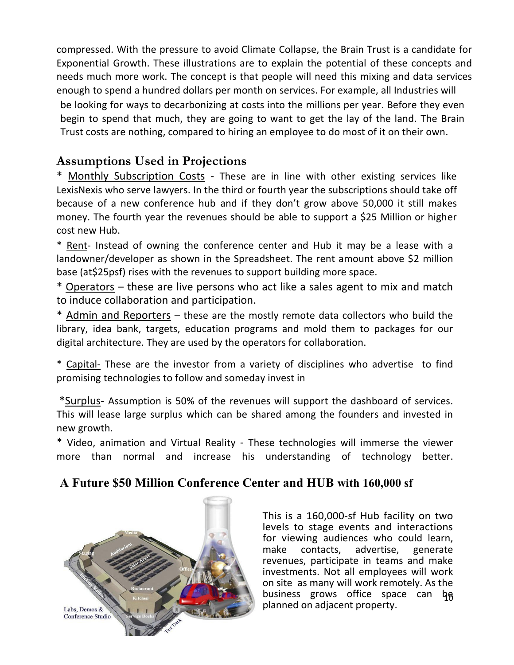compressed. With the pressure to avoid Climate Collapse, the Brain Trust is a candidate for Exponential Growth. These illustrations are to explain the potential of these concepts and needs much more work. The concept is that people will need this mixing and data services enough to spend a hundred dollars per month on services. For example, all Industries will be looking for ways to decarbonizing at costs into the millions per year. Before they even begin to spend that much, they are going to want to get the lay of the land. The Brain Trust costs are nothing, compared to hiring an employee to do most of it on their own.

# **Assumptions Used in Projections**

\* Monthly Subscription Costs - These are in line with other existing services like LexisNexis who serve lawyers. In the third or fourth year the subscriptions should take off because of a new conference hub and if they don't grow above 50,000 it still makes money. The fourth year the revenues should be able to support a \$25 Million or higher cost new Hub.

\* Rent- Instead of owning the conference center and Hub it may be a lease with a landowner/developer as shown in the Spreadsheet. The rent amount above \$2 million base (at\$25psf) rises with the revenues to support building more space.

\* Operators – these are live persons who act like a sales agent to mix and match to induce collaboration and participation.

\* Admin and Reporters – these are the mostly remote data collectors who build the library, idea bank, targets, education programs and mold them to packages for our digital architecture. They are used by the operators for collaboration.

\* Capital- These are the investor from a variety of disciplines who advertise to find promising technologies to follow and someday invest in

\*Surplus- Assumption is 50% of the revenues will support the dashboard of services. This will lease large surplus which can be shared among the founders and invested in new growth.

\* Video, animation and Virtual Reality - These technologies will immerse the viewer more than normal and increase his understanding of technology better.

# **A Future \$50 Million Conference Center and HUB with 160,000 sf**



business grows office space can be This is a 160,000-sf Hub facility on two levels to stage events and interactions for viewing audiences who could learn, make contacts, advertise, generate revenues, participate in teams and make investments. Not all employees will work on site as many will work remotely. As the planned on adjacent property.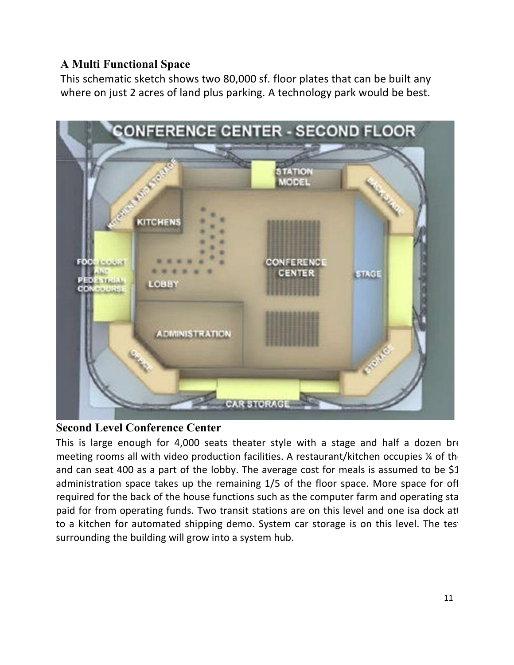### **A Multi Functional Space**

This schematic sketch shows two 80,000 sf. floor plates that can be built any where on just 2 acres of land plus parking. A technology park would be best.



### **Second Level Conference Center**

This is large enough for 4,000 seats theater style with a stage and half a dozen bre meeting rooms all with video production facilities. A restaurant/kitchen occupies  $\frac{1}{4}$  of the and can seat 400 as a part of the lobby. The average cost for meals is assumed to be  $$1$ . administration space takes up the remaining 1/5 of the floor space. More space for off required for the back of the house functions such as the computer farm and operating sta paid for from operating funds. Two transit stations are on this level and one isa dock att to a kitchen for automated shipping demo. System car storage is on this level. The test surrounding the building will grow into a system hub.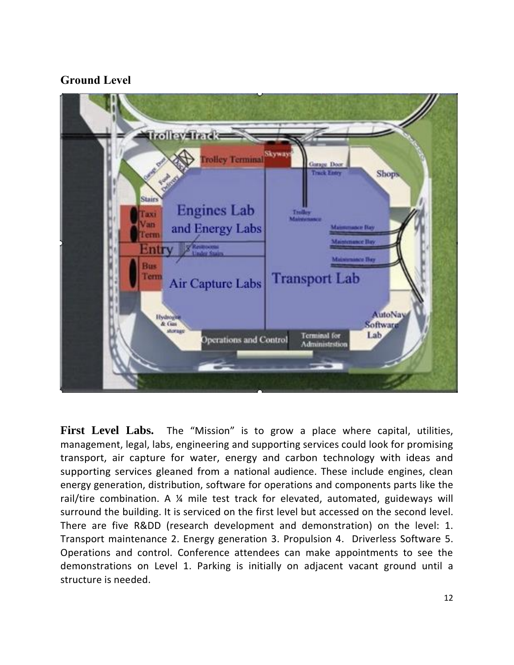### **Ground Level**



**First Level Labs.** The "Mission" is to grow a place where capital, utilities, management, legal, labs, engineering and supporting services could look for promising transport, air capture for water, energy and carbon technology with ideas and supporting services gleaned from a national audience. These include engines, clean energy generation, distribution, software for operations and components parts like the rail/tire combination. A ¼ mile test track for elevated, automated, guideways will surround the building. It is serviced on the first level but accessed on the second level. There are five R&DD (research development and demonstration) on the level: 1. Transport maintenance 2. Energy generation 3. Propulsion 4. Driverless Software 5. Operations and control. Conference attendees can make appointments to see the demonstrations on Level 1. Parking is initially on adjacent vacant ground until a structure is needed.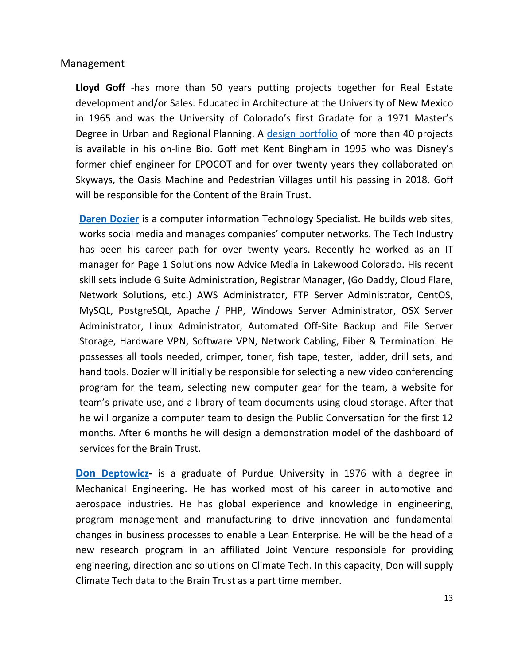### Management

**Lloyd Goff** -has more than 50 years putting projects together for Real Estate development and/or Sales. Educated in Architecture at the University of New Mexico in 1965 and was the University of Colorado's first Gradate for a 1971 Master's Degree in Urban and Regional Planning. A [design portfolio](http://lloydgoff.com/lg/newslideshow.htm) of more than 40 projects is available in his on-line Bio. Goff met Kent Bingham in 1995 who was Disney's former chief engineer for EPOCOT and for over twenty years they collaborated on Skyways, the Oasis Machine and Pedestrian Villages until his passing in 2018. Goff will be responsible for the Content of the Brain Trust.

**[Daren Dozier](https://apparent-technologies.com/!DozierResume-Cover2022.pdf)** is a computer information Technology Specialist. He builds web sites, works social media and manages companies' computer networks. The Tech Industry has been his career path for over twenty years. Recently he worked as an IT manager for Page 1 Solutions now Advice Media in Lakewood Colorado. His recent skill sets include G Suite Administration, Registrar Manager, (Go Daddy, Cloud Flare, Network Solutions, etc.) AWS Administrator, FTP Server Administrator, CentOS, MySQL, PostgreSQL, Apache / PHP, Windows Server Administrator, OSX Server Administrator, Linux Administrator, Automated Off-Site Backup and File Server Storage, Hardware VPN, Software VPN, Network Cabling, Fiber & Termination. He possesses all tools needed, crimper, toner, fish tape, tester, ladder, drill sets, and hand tools. Dozier will initially be responsible for selecting a new video conferencing program for the team, selecting new computer gear for the team, a website for team's private use, and a library of team documents using cloud storage. After that he will organize a computer team to design the Public Conversation for the first 12 months. After 6 months he will design a demonstration model of the dashboard of services for the Brain Trust.

**[Don](https://aspenhybridtechnologysolution.com/%20.) [Deptowicz-](https://aspenhybridtechnologysolution.com/%20.)** is a graduate of Purdue University in 1976 with a degree in Mechanical Engineering. He has worked most of his career in automotive and aerospace industries. He has global experience and knowledge in engineering, program management and manufacturing to drive innovation and fundamental changes in business processes to enable a Lean Enterprise. He will be the head of a new research program in an affiliated Joint Venture responsible for providing engineering, direction and solutions on Climate Tech. In this capacity, Don will supply Climate Tech data to the Brain Trust as a part time member.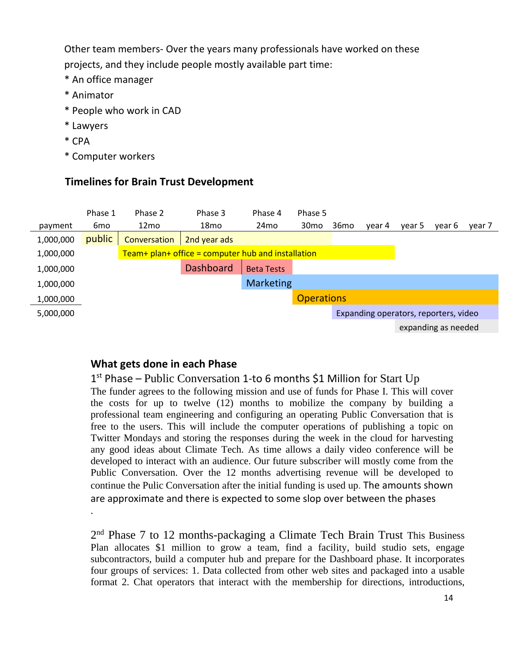Other team members- Over the years many professionals have worked on these projects, and they include people mostly available part time:

- \* An office manager
- \* Animator
- \* People who work in CAD
- \* Lawyers

.

- \* CPA
- \* Computer workers

### **Timelines for Brain Trust Development**



### **What gets done in each Phase**

1<sup>st</sup> Phase - Public Conversation 1-to 6 months \$1 Million for Start Up The funder agrees to the following mission and use of funds for Phase I. This will cover the costs for up to twelve (12) months to mobilize the company by building a professional team engineering and configuring an operating Public Conversation that is free to the users. This will include the computer operations of publishing a topic on Twitter Mondays and storing the responses during the week in the cloud for harvesting any good ideas about Climate Tech. As time allows a daily video conference will be developed to interact with an audience. Our future subscriber will mostly come from the Public Conversation. Over the 12 months advertising revenue will be developed to continue the Pulic Conversation after the initial funding is used up. The amounts shown are approximate and there is expected to some slop over between the phases

2<sup>nd</sup> Phase 7 to 12 months-packaging a Climate Tech Brain Trust This Business Plan allocates \$1 million to grow a team, find a facility, build studio sets, engage subcontractors, build a computer hub and prepare for the Dashboard phase. It incorporates four groups of services: 1. Data collected from other web sites and packaged into a usable format 2. Chat operators that interact with the membership for directions, introductions,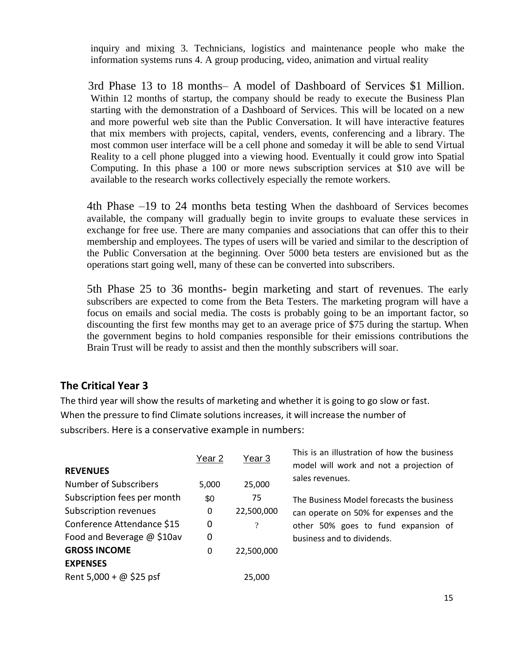inquiry and mixing 3. Technicians, logistics and maintenance people who make the information systems runs 4. A group producing, video, animation and virtual reality

 3rd Phase 13 to 18 months– A model of Dashboard of Services \$1 Million. Within 12 months of startup, the company should be ready to execute the Business Plan starting with the demonstration of a Dashboard of Services. This will be located on a new and more powerful web site than the Public Conversation. It will have interactive features that mix members with projects, capital, venders, events, conferencing and a library. The most common user interface will be a cell phone and someday it will be able to send Virtual Reality to a cell phone plugged into a viewing hood. Eventually it could grow into Spatial Computing. In this phase a 100 or more news subscription services at \$10 ave will be available to the research works collectively especially the remote workers.

4th Phase –19 to 24 months beta testing When the dashboard of Services becomes available, the company will gradually begin to invite groups to evaluate these services in exchange for free use. There are many companies and associations that can offer this to their membership and employees. The types of users will be varied and similar to the description of the Public Conversation at the beginning. Over 5000 beta testers are envisioned but as the operations start going well, many of these can be converted into subscribers.

5th Phase 25 to 36 months- begin marketing and start of revenues. The early subscribers are expected to come from the Beta Testers. The marketing program will have a focus on emails and social media. The costs is probably going to be an important factor, so discounting the first few months may get to an average price of \$75 during the startup. When the government begins to hold companies responsible for their emissions contributions the Brain Trust will be ready to assist and then the monthly subscribers will soar.

### **The Critical Year 3**

The third year will show the results of marketing and whether it is going to go slow or fast. When the pressure to find Climate solutions increases, it will increase the number of subscribers. Here is a conservative example in numbers:

| <b>REVENUES</b>                | Year 2 | <u>Year 3</u> | This is an illustration of how the business<br>model will work and not a projection of |
|--------------------------------|--------|---------------|----------------------------------------------------------------------------------------|
| Number of Subscribers          | 5,000  | 25,000        | sales revenues.                                                                        |
| Subscription fees per month    | \$0    | 75            | The Business Model forecasts the business                                              |
| Subscription revenues          | 0      | 22,500,000    | can operate on 50% for expenses and the                                                |
| Conference Attendance \$15     | 0      | $\gamma$      | other 50% goes to fund expansion of                                                    |
| Food and Beverage @ \$10av     | 0      |               | business and to dividends.                                                             |
| <b>GROSS INCOME</b>            | 0      | 22,500,000    |                                                                                        |
| <b>EXPENSES</b>                |        |               |                                                                                        |
| Rent 5,000 + $\omega$ \$25 psf |        | 25,000        |                                                                                        |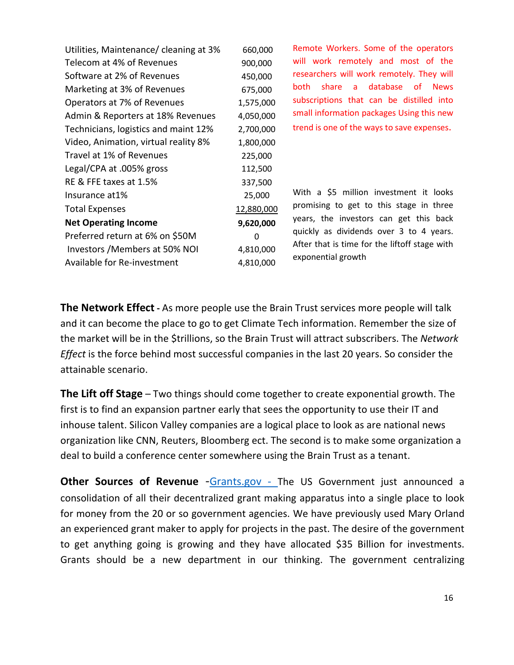| Utilities, Maintenance/ cleaning at 3% | 660,000    | Remote Workers. Some of the operators                |
|----------------------------------------|------------|------------------------------------------------------|
| Telecom at 4% of Revenues              | 900,000    | will work remotely and most of the                   |
| Software at 2% of Revenues             | 450,000    | researchers will work remotely. They will            |
| Marketing at 3% of Revenues            | 675,000    | database<br>share<br>of News<br>both<br>$\mathsf{a}$ |
| Operators at 7% of Revenues            | 1,575,000  | subscriptions that can be distilled into             |
| Admin & Reporters at 18% Revenues      | 4,050,000  | small information packages Using this new            |
| Technicians, logistics and maint 12%   | 2,700,000  | trend is one of the ways to save expenses.           |
| Video, Animation, virtual reality 8%   | 1,800,000  |                                                      |
| Travel at 1% of Revenues               | 225,000    |                                                      |
| Legal/CPA at .005% gross               | 112,500    |                                                      |
| RE & FFE taxes at 1.5%                 | 337,500    |                                                      |
| Insurance at 1%                        | 25,000     | With a \$5 million investment it looks               |
| <b>Total Expenses</b>                  | 12,880,000 | promising to get to this stage in three              |
| <b>Net Operating Income</b>            | 9,620,000  | years, the investors can get this back               |
| Preferred return at 6% on \$50M        | 0          | quickly as dividends over 3 to 4 years.              |
| Investors / Members at 50% NOI         | 4,810,000  | After that is time for the liftoff stage with        |
| Available for Re-investment            | 4,810,000  | exponential growth                                   |

**The Network Effect -** As more people use the Brain Trust services more people will talk and it can become the place to go to get Climate Tech information. Remember the size of the market will be in the \$trillions, so the Brain Trust will attract subscribers. The *Network Effect* is the force behind most successful companies in the last 20 years. So consider the attainable scenario.

**The Lift off Stage** – Two things should come together to create exponential growth. The first is to find an expansion partner early that sees the opportunity to use their IT and inhouse talent. Silicon Valley companies are a logical place to look as are national news organization like CNN, Reuters, Bloomberg ect. The second is to make some organization a deal to build a conference center somewhere using the Brain Trust as a tenant.

**Other Sources of Revenue** -[Grants.gov](https://www.grants.gov/) - The US Government just announced a consolidation of all their decentralized grant making apparatus into a single place to look for money from the 20 or so government agencies. We have previously used Mary Orland an experienced grant maker to apply for projects in the past. The desire of the government to get anything going is growing and they have allocated \$35 Billion for investments. Grants should be a new department in our thinking. The government centralizing